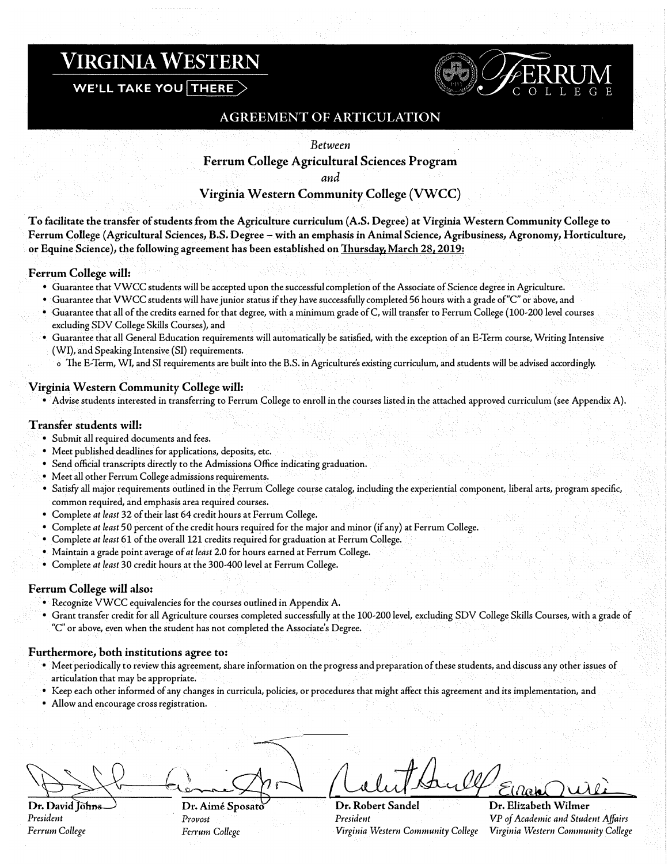# **VIRGINIA WESTERN**

WE'LL TAKE YOU THERE



## AGREEMENT OF ARTICULATION

*Between* 

**Ferrum College Agricultural Sciences Program** 

*and* 

## **Virginia Western Community College (VWCC)**

**To facilitate the transfer of students from the Agriculture curriculum (A.S. Degree) at Virginia Western Community College to Ferrum College (Agricultural Sciences, B.S. Degree - with an emphasis in Animal Science, Agribusiness, Agronomy, Horticulture, or Equine Science), the following agreement has been established on Thursday, March 28, 2019:** 

#### **Ferrum College will:**

- Guarantee that VWCC students will be accepted upon the successful completion of the Associate of Science degree in Agriculture.
- Guarantee that VWCC students will have junior status if they have successfully completed 56 hours with a grade of"C" or above, and
- Guarantee that all of the credits earned for that degree, with a minimum grade of C, will transfer to Ferrum College ( 100-200 level courses excluding SDV College Skills Courses), and
- Guarantee that all General Education requirements will automatically be satisfied, with the exception of an E-Term course, Writing Intensive (WI), and Speaking Intensive (SI) requirements.
	- o The E-Term, WI, and SI requirements are built into the B.S. in Agriculture's existing curriculum, and students will be advised accordingly.

#### **Virginia Western Community College will:**

• Advise students interested in transferring to Ferrum College to enroll in the courses listed in the attached approved curriculum (see Appendix A).

#### **Transfer students will:**

- Submit all required documents and fees.
- Meet published deadlines for applications, deposits, etc.
- Send official transcripts directly to the Admissions Office indicating graduation.
- Meet all other Ferrum College admissions requirements.
- Satisfy all major requirements outlined in the Ferrum College course catalog, including the experiential component, liberal arts, program specific, common required, and emphasis area required courses.
- Complete *at least* 32 of their last 64 credit hours at Ferrum College.
- Complete *at least* 50 percent of the credit hours required for the major and minor (if any) at Ferrum College.
- Complete *at least* 61 of the overall 121 credits required for graduation at Ferrum College.
- Maintain a grade point average of *at least* 2.0 for hours earned at Ferrum College.
- Complete *at least* 30 credit hours at the 300-400 level at Ferrum College.

#### **Ferrum College will also:**

- Recognize VWCC equivalencies for the courses outlined in Appendix A.
- Grant transfer credit for all Agriculture courses completed successfully at the 100-200 level, excluding SDV College Skills Courses, with a grade of "C" or above, even when the student has not completed the Associate's Degree.

#### **Furthermore, both institutions agree to:**

- Meet periodically to review this agreement, share information on the progress and preparation of these students, and discuss any other issues of articulation that may be appropriate.
- Keep each other informed of any changes in curricula, policies, or procedures that might affect this agreement and its implementation, and
- Allow and encourage cross registration.

Dr. David lohns *President Ferrum College* 

Dr. Aimé Sposato Provost Ferrum College

*f-w\_,;jiLJJ¥7Ew@O�*  **Dr, Robert Sandel Dr. Elizabeth Wilmer** 

*President VP of Academic and Student Affairs Virginia Western Community College Virginia Western Community College*